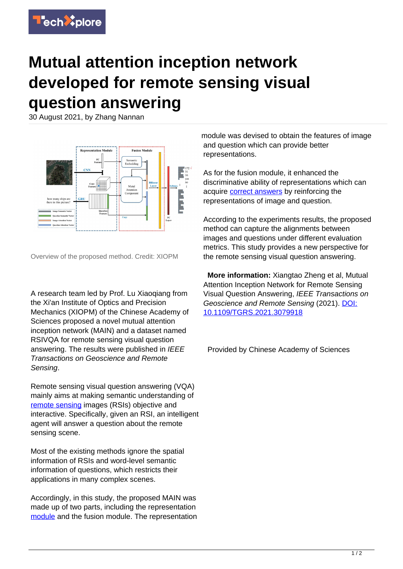

## **Mutual attention inception network developed for remote sensing visual question answering**

30 August 2021, by Zhang Nannan



Overview of the proposed method. Credit: XIOPM

A research team led by Prof. Lu Xiaoqiang from the Xi'an Institute of Optics and Precision Mechanics (XIOPM) of the Chinese Academy of Sciences proposed a novel mutual attention inception network (MAIN) and a dataset named RSIVQA for remote sensing visual question answering. The results were published in IEEE Transactions on Geoscience and Remote Sensing.

Remote sensing visual question answering (VQA) mainly aims at making semantic understanding of [remote sensing](https://techxplore.com/tags/remote+sensing/) images (RSIs) objective and interactive. Specifically, given an RSI, an intelligent agent will answer a question about the remote sensing scene.

Most of the existing methods ignore the spatial information of RSIs and word-level semantic information of questions, which restricts their applications in many complex scenes.

Accordingly, in this study, the proposed MAIN was made up of two parts, including the representation [module](https://techxplore.com/tags/module/) and the fusion module. The representation

module was devised to obtain the features of image and question which can provide better representations.

As for the fusion module, it enhanced the discriminative ability of representations which can acquire [correct answers](https://techxplore.com/tags/correct+answers/) by reinforcing the representations of image and question.

According to the experiments results, the proposed method can capture the alignments between images and questions under different evaluation metrics. This study provides a new perspective for the remote sensing visual question answering.

 **More information:** Xiangtao Zheng et al, Mutual Attention Inception Network for Remote Sensing Visual Question Answering, IEEE Transactions on Geoscience and Remote Sensing (2021). [DOI:](http://dx.doi.org/10.1109/TGRS.2021.3079918) [10.1109/TGRS.2021.3079918](http://dx.doi.org/10.1109/TGRS.2021.3079918)

Provided by Chinese Academy of Sciences